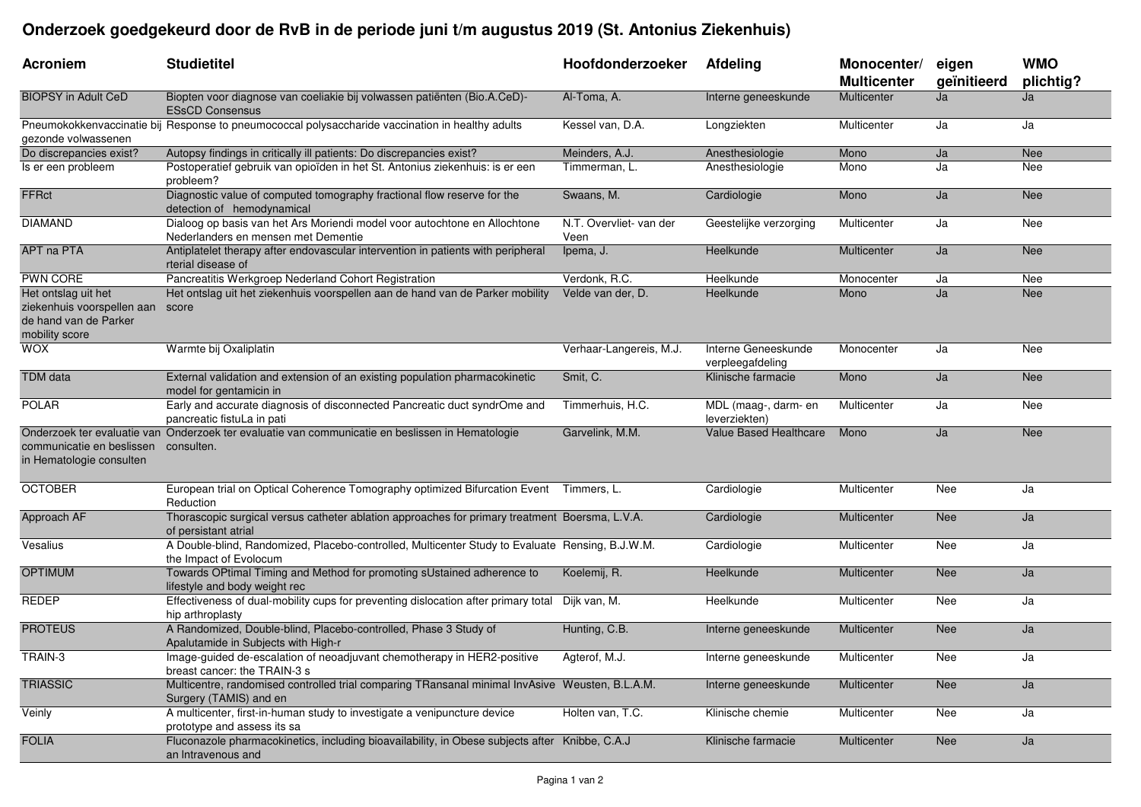## **Onderzoek goedgekeurd door de RvB in de periode juni t/m augustus 2019 (St. Antonius Ziekenhuis)**

| <b>Acroniem</b>                                                                              | <b>Studietitel</b>                                                                                                        | Hoofdonderzoeker                | Afdeling                                | Monocenter/<br><b>Multicenter</b> | eigen<br>geïnitieerd | <b>WMO</b><br>plichtig? |
|----------------------------------------------------------------------------------------------|---------------------------------------------------------------------------------------------------------------------------|---------------------------------|-----------------------------------------|-----------------------------------|----------------------|-------------------------|
| <b>BIOPSY in Adult CeD</b>                                                                   | Biopten voor diagnose van coeliakie bij volwassen patiënten (Bio.A.CeD)-<br><b>ESsCD Consensus</b>                        | Al-Toma, A.                     | Interne geneeskunde                     | Multicenter                       | Ja                   | Ja                      |
| gezonde volwassenen                                                                          | Pneumokokkenvaccinatie bij Response to pneumococcal polysaccharide vaccination in healthy adults                          | Kessel van, D.A.                | Longziekten                             | Multicenter                       | Ja                   | Ja                      |
| Do discrepancies exist?                                                                      | Autopsy findings in critically ill patients: Do discrepancies exist?                                                      | Meinders, A.J.                  | Anesthesiologie                         | Mono                              | Ja                   | <b>Nee</b>              |
| Is er een probleem                                                                           | Postoperatief gebruik van opioïden in het St. Antonius ziekenhuis: is er een<br>probleem?                                 | Timmerman, L.                   | Anesthesiologie                         | Mono                              | Ja                   | Nee                     |
| <b>FFRct</b>                                                                                 | Diagnostic value of computed tomography fractional flow reserve for the<br>detection of hemodynamical                     | Swaans, M.                      | Cardiologie                             | Mono                              | Ja                   | <b>Nee</b>              |
| <b>DIAMAND</b>                                                                               | Dialoog op basis van het Ars Moriendi model voor autochtone en Allochtone<br>Nederlanders en mensen met Dementie          | N.T. Overvliet- van der<br>Veen | Geestelijke verzorging                  | Multicenter                       | Ja                   | Nee                     |
| APT na PTA                                                                                   | Antiplatelet therapy after endovascular intervention in patients with peripheral<br>rterial disease of                    | Ipema, J.                       | Heelkunde                               | Multicenter                       | Ja                   | <b>Nee</b>              |
| PWN CORE                                                                                     | Pancreatitis Werkgroep Nederland Cohort Registration                                                                      | Verdonk, R.C.                   | Heelkunde                               | Monocenter                        | Ja                   | Nee                     |
| Het ontslag uit het<br>ziekenhuis voorspellen aan<br>de hand van de Parker<br>mobility score | Het ontslag uit het ziekenhuis voorspellen aan de hand van de Parker mobility<br>score                                    | Velde van der, D.               | Heelkunde                               | Mono                              | Ja                   | <b>Nee</b>              |
| <b>WOX</b>                                                                                   | Warmte bij Oxaliplatin                                                                                                    | Verhaar-Langereis, M.J.         | Interne Geneeskunde<br>verpleegafdeling | Monocenter                        | Ja                   | Nee                     |
| <b>TDM</b> data                                                                              | External validation and extension of an existing population pharmacokinetic<br>model for gentamicin in                    | Smit, C.                        | Klinische farmacie                      | Mono                              | Ja                   | <b>Nee</b>              |
| <b>POLAR</b>                                                                                 | Early and accurate diagnosis of disconnected Pancreatic duct syndrOme and<br>pancreatic fistuLa in pati                   | Timmerhuis, H.C.                | MDL (maag-, darm- en<br>leverziekten)   | Multicenter                       | Ja                   | Nee                     |
| communicatie en beslissen<br>in Hematologie consulten                                        | Onderzoek ter evaluatie van Onderzoek ter evaluatie van communicatie en beslissen in Hematologie<br>consulten.            | Garvelink, M.M.                 | <b>Value Based Healthcare</b>           | Mono                              | Ja                   | <b>Nee</b>              |
| <b>OCTOBER</b>                                                                               | European trial on Optical Coherence Tomography optimized Bifurcation Event Timmers, L.<br>Reduction                       |                                 | Cardiologie                             | Multicenter                       | Nee                  | Ja                      |
| Approach AF                                                                                  | Thorascopic surgical versus catheter ablation approaches for primary treatment Boersma, L.V.A.<br>of persistant atrial    |                                 | Cardiologie                             | Multicenter                       | <b>Nee</b>           | Ja                      |
| Vesalius                                                                                     | A Double-blind, Randomized, Placebo-controlled, Multicenter Study to Evaluate Rensing, B.J.W.M.<br>the Impact of Evolocum |                                 | Cardiologie                             | Multicenter                       | Nee                  | Ja                      |
| <b>OPTIMUM</b>                                                                               | Towards OPtimal Timing and Method for promoting sUstained adherence to<br>lifestyle and body weight rec                   | Koelemij, R.                    | Heelkunde                               | Multicenter                       | <b>Nee</b>           | Ja                      |
| <b>REDEP</b>                                                                                 | Effectiveness of dual-mobility cups for preventing dislocation after primary total<br>hip arthroplasty                    | Dijk van, M.                    | Heelkunde                               | Multicenter                       | Nee                  | Ja                      |
| <b>PROTEUS</b>                                                                               | A Randomized, Double-blind, Placebo-controlled, Phase 3 Study of<br>Apalutamide in Subjects with High-r                   | Hunting, C.B.                   | Interne geneeskunde                     | Multicenter                       | <b>Nee</b>           | Ja                      |
| TRAIN-3                                                                                      | Image-guided de-escalation of neoadjuvant chemotherapy in HER2-positive<br>breast cancer: the TRAIN-3 s                   | Agterof, M.J.                   | Interne geneeskunde                     | Multicenter                       | Nee                  | Ja                      |
| <b>TRIASSIC</b>                                                                              | Multicentre, randomised controlled trial comparing TRansanal minimal InvAsive Weusten, B.L.A.M.<br>Surgery (TAMIS) and en |                                 | Interne geneeskunde                     | Multicenter                       | <b>Nee</b>           | Ja                      |
| Veinly                                                                                       | A multicenter, first-in-human study to investigate a venipuncture device<br>prototype and assess its sa                   | Holten van, T.C.                | Klinische chemie                        | Multicenter                       | Nee                  | Ja                      |
| <b>FOLIA</b>                                                                                 | Fluconazole pharmacokinetics, including bioavailability, in Obese subjects after Knibbe, C.A.J<br>an Intravenous and      |                                 | Klinische farmacie                      | Multicenter                       | <b>Nee</b>           | Ja                      |